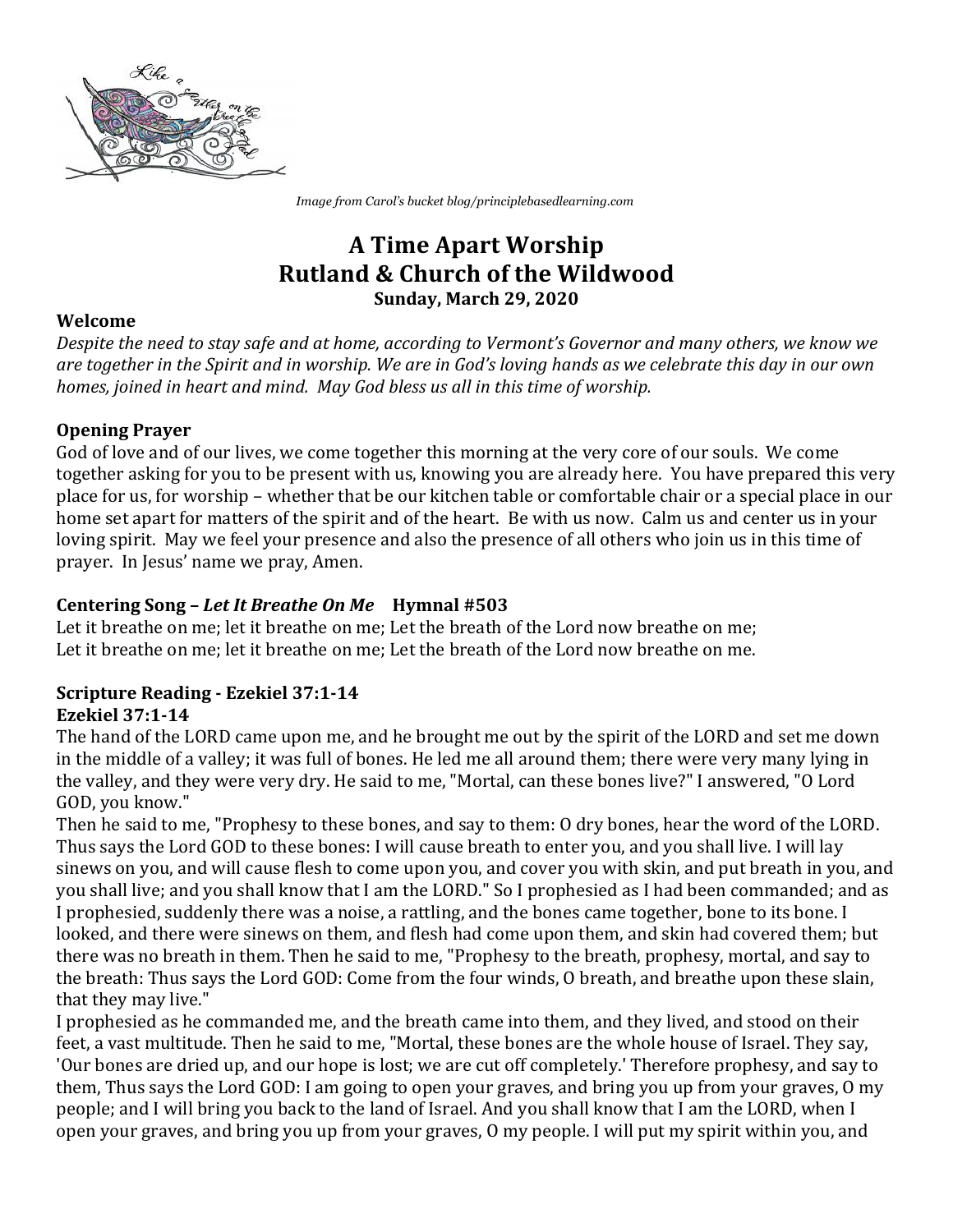

*Image from Carol's bucket blog/principlebasedlearning.com*

# **A Time Apart Worship Rutland & Church of the Wildwood Sunday, March 29, 2020**

## **Welcome**

*Despite* the need to stay safe and at home, according to Vermont's Governor and many others, we know we are together in the Spirit and in worship. We are in God's loving hands as we celebrate this day in our own *homes, joined in heart and mind. May God bless us all in this time of worship.* 

## **Opening Prayer**

God of love and of our lives, we come together this morning at the very core of our souls. We come together asking for you to be present with us, knowing you are already here. You have prepared this very place for us, for worship – whether that be our kitchen table or comfortable chair or a special place in our home set apart for matters of the spirit and of the heart. Be with us now. Calm us and center us in your loving spirit. May we feel your presence and also the presence of all others who join us in this time of prayer. In Jesus' name we pray, Amen.

# **Centering Song – Let It Breathe On Me** Hymnal #503

Let it breathe on me; let it breathe on me; Let the breath of the Lord now breathe on me; Let it breathe on me; let it breathe on me; Let the breath of the Lord now breathe on me.

#### **Scripture Reading - Ezekiel 37:1-14 Ezekiel 37:1-14**

The hand of the LORD came upon me, and he brought me out by the spirit of the LORD and set me down in the middle of a valley; it was full of bones. He led me all around them; there were very many lying in the valley, and they were very dry. He said to me, "Mortal, can these bones live?" I answered, "O Lord GOD, you know."

Then he said to me, "Prophesy to these bones, and say to them: O dry bones, hear the word of the LORD. Thus says the Lord GOD to these bones: I will cause breath to enter you, and you shall live. I will lay sinews on you, and will cause flesh to come upon you, and cover you with skin, and put breath in you, and you shall live; and you shall know that I am the LORD." So I prophesied as I had been commanded; and as I prophesied, suddenly there was a noise, a rattling, and the bones came together, bone to its bone. I looked, and there were sinews on them, and flesh had come upon them, and skin had covered them; but there was no breath in them. Then he said to me, "Prophesy to the breath, prophesy, mortal, and say to the breath: Thus says the Lord GOD: Come from the four winds, O breath, and breathe upon these slain, that they may live."

I prophesied as he commanded me, and the breath came into them, and they lived, and stood on their feet, a vast multitude. Then he said to me, "Mortal, these bones are the whole house of Israel. They say, 'Our bones are dried up, and our hope is lost; we are cut off completely.' Therefore prophesy, and say to them, Thus says the Lord GOD: I am going to open your graves, and bring you up from your graves, O my people; and I will bring you back to the land of Israel. And you shall know that I am the LORD, when I open your graves, and bring you up from your graves, O my people. I will put my spirit within you, and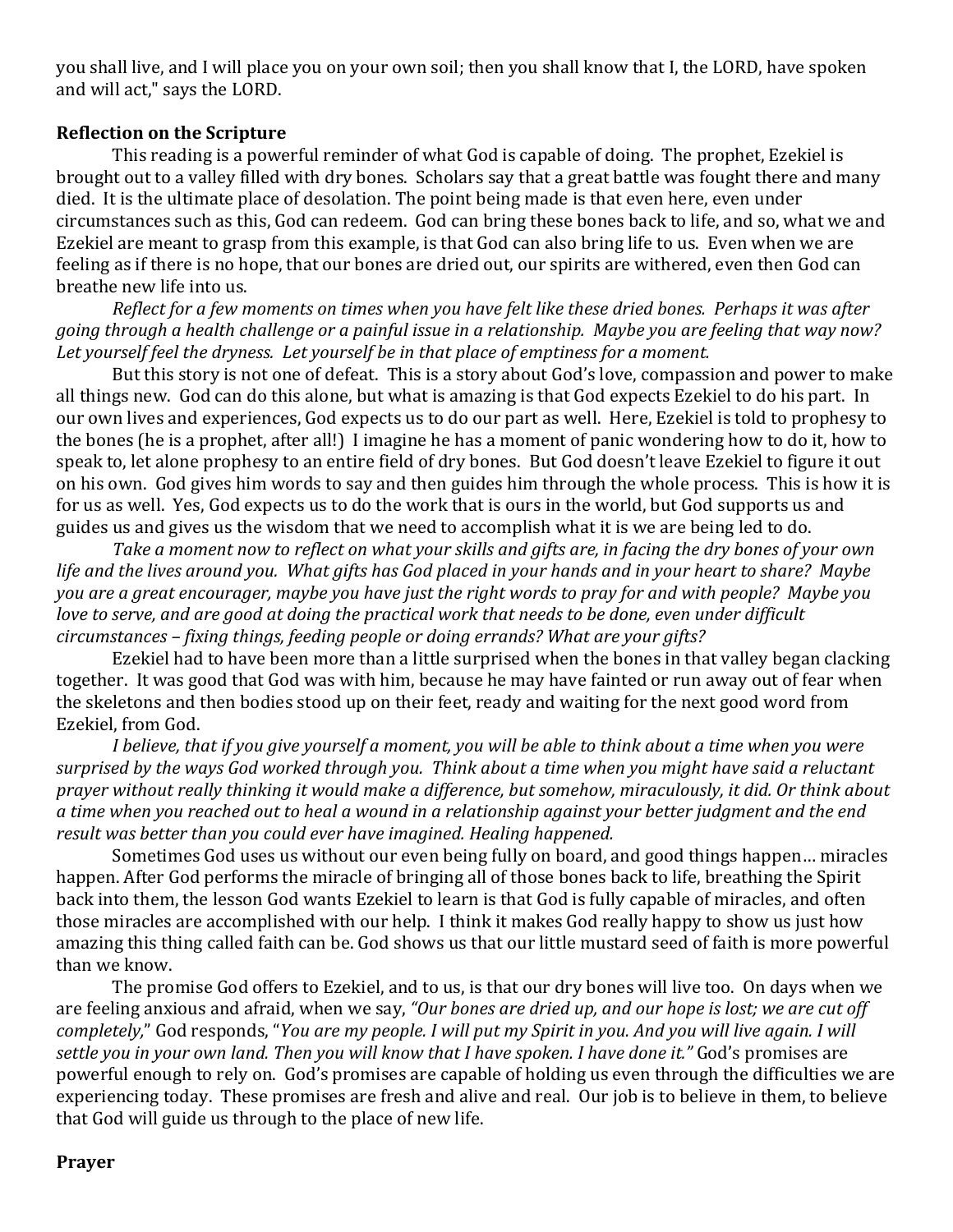you shall live, and I will place you on your own soil; then you shall know that I, the LORD, have spoken and will act," says the LORD.

### **Reflection on the Scripture**

This reading is a powerful reminder of what God is capable of doing. The prophet, Ezekiel is brought out to a valley filled with dry bones. Scholars say that a great battle was fought there and many died. It is the ultimate place of desolation. The point being made is that even here, even under circumstances such as this, God can redeem. God can bring these bones back to life, and so, what we and Ezekiel are meant to grasp from this example, is that God can also bring life to us. Even when we are feeling as if there is no hope, that our bones are dried out, our spirits are withered, even then God can breathe new life into us.

*Reflect for a few moments on times when you have felt like these dried bones. Perhaps it was after* going through a health challenge or a painful issue in a relationship. Maybe you are feeling that way now? Let yourself feel the dryness. Let yourself be in that place of emptiness for a moment.

But this story is not one of defeat. This is a story about God's love, compassion and power to make all things new. God can do this alone, but what is amazing is that God expects Ezekiel to do his part. In our own lives and experiences, God expects us to do our part as well. Here, Ezekiel is told to prophesy to the bones (he is a prophet, after all!) I imagine he has a moment of panic wondering how to do it, how to speak to, let alone prophesy to an entire field of dry bones. But God doesn't leave Ezekiel to figure it out on his own. God gives him words to say and then guides him through the whole process. This is how it is for us as well. Yes, God expects us to do the work that is ours in the world, but God supports us and guides us and gives us the wisdom that we need to accomplish what it is we are being led to do.

*Take a moment now to reflect on what your skills and gifts are, in facing the dry bones of your own life* and the lives around you. What gifts has God placed in your hands and in your heart to share? Maybe *you are a great encourager, maybe you have just the right words to pray for and with people? Maybe you love to serve, and are good at doing the practical work that needs to be done, even under difficult circumstances* – *fixing things, feeding people or doing errands?* What are your gifts?

Ezekiel had to have been more than a little surprised when the bones in that valley began clacking together. It was good that God was with him, because he may have fainted or run away out of fear when the skeletons and then bodies stood up on their feet, ready and waiting for the next good word from Ezekiel, from God.

*I* believe, that if you give yourself a moment, you will be able to think about a time when you were surprised by the ways God worked through you. Think about a time when you might have said a reluctant *prayer* without really thinking it would make a difference, but somehow, miraculously, it did. Or think about a time when you reached out to heal a wound in a relationship against your better judgment and the end *result* was better than you could ever have imagined. Healing happened.

Sometimes God uses us without our even being fully on board, and good things happen... miracles happen. After God performs the miracle of bringing all of those bones back to life, breathing the Spirit back into them, the lesson God wants Ezekiel to learn is that God is fully capable of miracles, and often those miracles are accomplished with our help. I think it makes God really happy to show us just how amazing this thing called faith can be. God shows us that our little mustard seed of faith is more powerful than we know.

The promise God offers to Ezekiel, and to us, is that our dry bones will live too. On days when we are feeling anxious and afraid, when we say, "Our bones are dried up, and our hope is lost; we are cut off *completely,*" God responds, "You are my people. I will put my Spirit in you. And you will live again. I will settle you in your own land. Then you will know that I have spoken. I have done it." God's promises are powerful enough to rely on. God's promises are capable of holding us even through the difficulties we are experiencing today. These promises are fresh and alive and real. Our job is to believe in them, to believe that God will guide us through to the place of new life.

#### **Prayer**